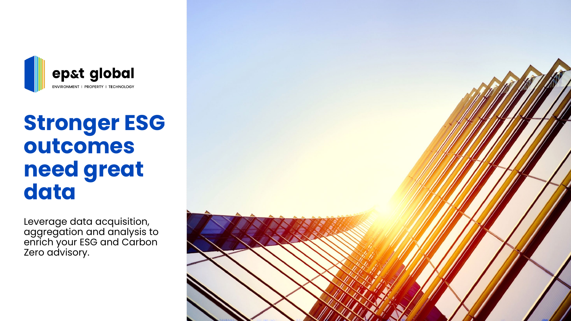

# **Stronger ESG outcomes need great data**

Leverage data acquisition, aggregation and analysis to enrich your ESG and Carbon Zero advisory.

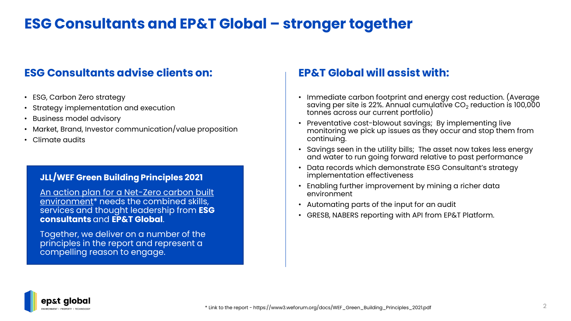### **ESG Consultants and EP&T Global – stronger together**

### **ESG Consultants advise clients on: EP&T Global will assist with:**

- ESG, Carbon Zero strategy
- Strategy implementation and execution
- Business model advisory
- Market, Brand, Investor communication/value proposition
- Climate audits

#### **JLL/WEF Green Building Principles 2021**

[An action plan for a Net-Zero carbon built](https://www3.weforum.org/docs/WEF_Green_Building_Principles_2021.pdf)  environment<sup>\*</sup> needs the combined skills, services and thought leadership from **ESG consultants** and **EP&T Global**.

Together, we deliver on a number of the principles in the report and represent a compelling reason to engage.

- Immediate carbon footprint and energy cost reduction. (Average saving per site is 22%. Annual cumulative  $CO<sub>2</sub>$  reduction is 100,000 tonnes across our current portfolio)
- Preventative cost-blowout savings; By implementing live monitoring we pick up issues as they occur and stop them from continuing.
- Savings seen in the utility bills; The asset now takes less energy and water to run going forward relative to past performance
- Data records which demonstrate ESG Consultant's strategy implementation effectiveness
- Enabling further improvement by mining a richer data environment
- Automating parts of the input for an audit
- GRESB, NABERS reporting with API from EP&T Platform.

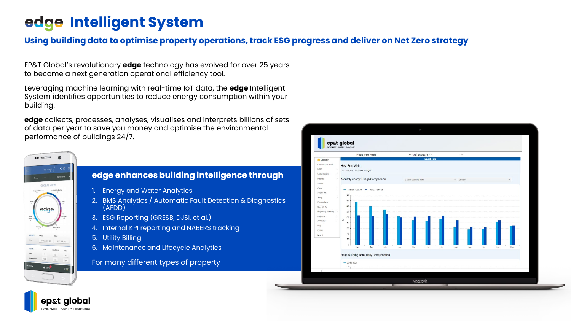## **Intelligent System**

#### **Using building data to optimise property operations, track ESG progress and deliver on Net Zero strategy**

EP&T Global's revolutionary **edge** technology has evolved for over 25 years to become a next generation operational efficiency tool.

Leveraging machine learning with real-time IoT data, the **edge** Intelligent System identifies opportunities to reduce energy consumption within your building.

**edge** collects, processes, analyses, visualises and interprets billions of sets of data per year to save you money and optimise the environmental performance of buildings 24/7.



p&t alobal

#### **edge enhances building intelligence through**

- 1. Energy and Water Analytics
- 2. BMS Analytics / Automatic Fault Detection & Diagnostics (AFDD)
- 3. ESG Reporting (GRESB, DJSI, et al.)
- 4. Internal KPI reporting and NABERS tracking
- 5. Utility Billing
- 6. Maintenance and Lifecycle Analytics

#### For many different types of property

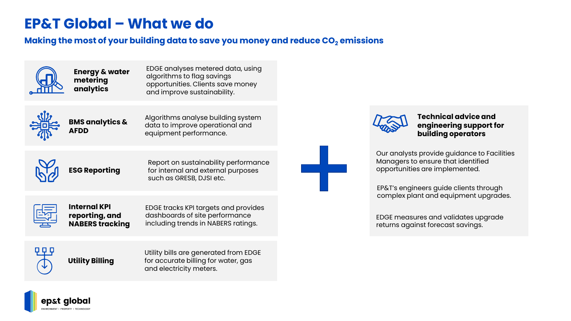### **EP&T Global – What we do**

#### **Making the most of your building data to save you money and reduce CO<sub>2</sub> emissions**



**Energy & water metering analytics** 

EDGE analyses metered data, using algorithms to flag savings opportunities. Clients save money and improve sustainability.



**BMS analytics & AFDD** 

Algorithms analyse building system data to improve operational and equipment performance.



**ESG Reporting**

Report on sustainability performance for internal and external purposes such as GRESB, DJSI etc.



**Internal KPI reporting, and NABERS tracking**

EDGE tracks KPI targets and provides dashboards of site performance including trends in NABERS ratings.



**Utility Billing**

Utility bills are generated from EDGE for accurate billing for water, gas and electricity meters.



**Technical advice and engineering support for building operators**

Our analysts provide guidance to Facilities Managers to ensure that identified opportunities are implemented.

EP&T's engineers guide clients through complex plant and equipment upgrades.

EDGE measures and validates upgrade returns against forecast savings.

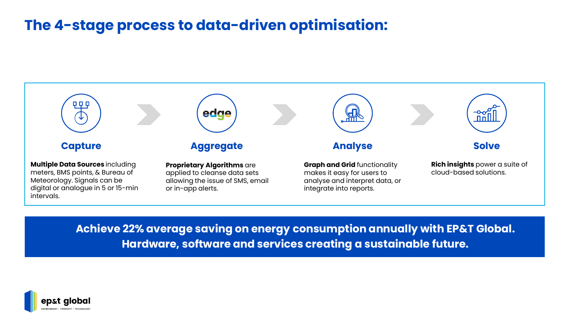### **The 4-stage process to data-driven optimisation:**



**Achieve 22% average saving on energy consumption annually with EP&T Global. Hardware, software and services creating a sustainable future.**